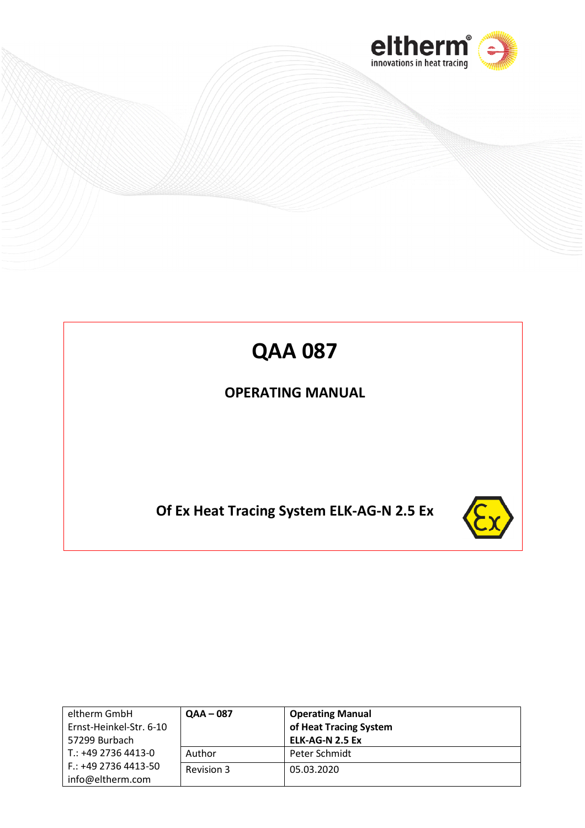

# **QAA 087**

# **OPERATING MANUAL**

# **Of Ex Heat Tracing System ELK-AG-N 2.5 Ex**



| eltherm GmbH<br>Ernst-Heinkel-Str. 6-10<br>57299 Burbach | $QAA - 087$ | <b>Operating Manual</b><br>of Heat Tracing System<br>ELK-AG-N 2.5 Ex |
|----------------------------------------------------------|-------------|----------------------------------------------------------------------|
| T.: +49 2736 4413-0                                      | Author      | Peter Schmidt                                                        |
| $F.: +4927364413-50$<br>info@eltherm.com                 | Revision 3  | 05.03.2020                                                           |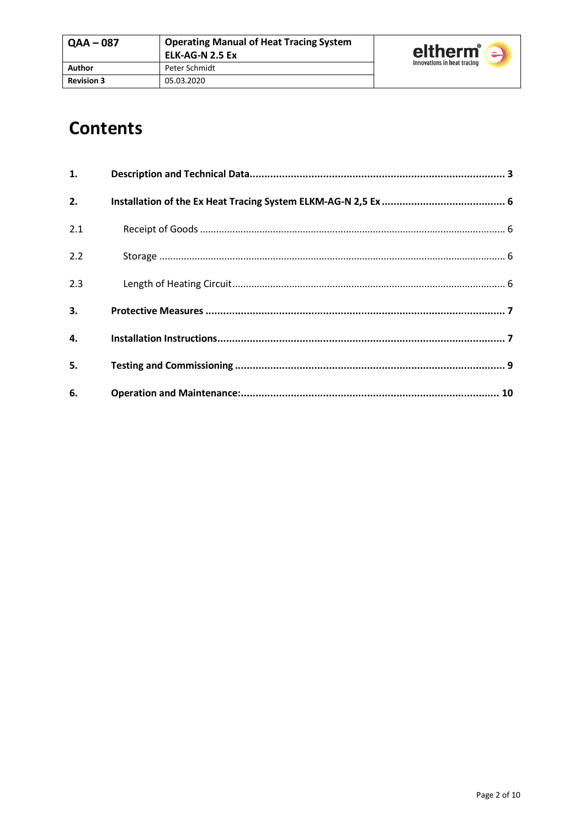# **Contents**

| 1.  |  |
|-----|--|
| 2.  |  |
| 2.1 |  |
| 2.2 |  |
| 2.3 |  |
| 3.  |  |
| 4.  |  |
| 5.  |  |
| 6.  |  |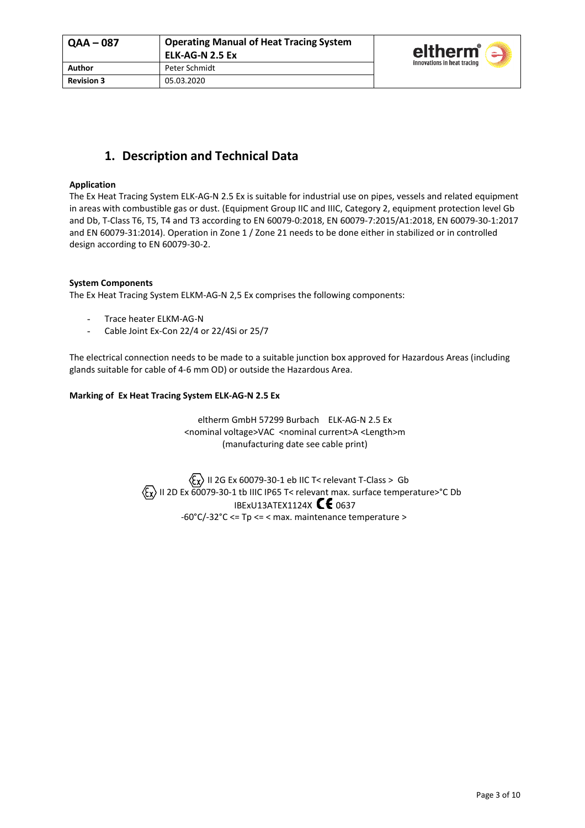

# **1. Description and Technical Data**

#### **Application**

The Ex Heat Tracing System ELK-AG-N 2.5 Ex is suitable for industrial use on pipes, vessels and related equipment in areas with combustible gas or dust. (Equipment Group IIC and IIIC, Category 2, equipment protection level Gb and Db, T-Class T6, T5, T4 and T3 according to EN 60079-0:2018, EN 60079-7:2015/A1:2018, EN 60079-30-1:2017 and EN 60079-31:2014). Operation in Zone 1 / Zone 21 needs to be done either in stabilized or in controlled design according to EN 60079-30-2.

#### **System Components**

The Ex Heat Tracing System ELKM-AG-N 2,5 Ex comprises the following components:

- Trace heater ELKM-AG-N
- Cable Joint Ex-Con 22/4 or 22/4Si or 25/7

The electrical connection needs to be made to a suitable junction box approved for Hazardous Areas (including glands suitable for cable of 4-6 mm OD) or outside the Hazardous Area.

#### **Marking of Ex Heat Tracing System ELK-AG-N 2.5 Ex**

eltherm GmbH 57299 Burbach ELK-AG-N 2.5 Ex <nominal voltage>VAC <nominal current>A <Length>m (manufacturing date see cable print)

 $\langle \xi_{\mathsf{X}} \rangle$  II 2G Ex 60079-30-1 eb IIC T< relevant T-Class > Gb  $\langle \xi_{\chi} \rangle$  II 2D Ex 60079-30-1 tb IIIC IP65 T< relevant max. surface temperature>°C Db IBExU13ATEX1124X  $\mathsf{\mathsf{CE}}$  0637 -60°C/-32°C <= Tp <= < max. maintenance temperature >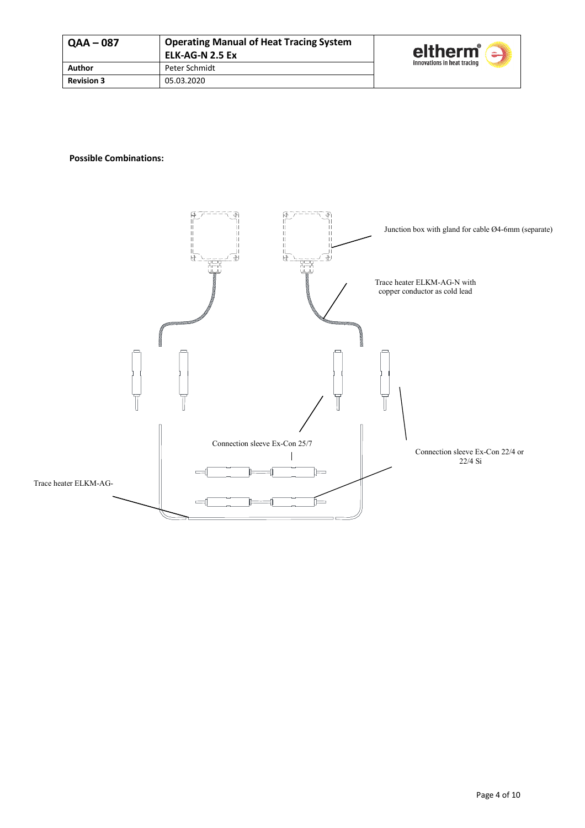| <b>QAA-087</b>    | <b>Operating Manual of Heat Tracing System</b><br>ELK-AG-N 2.5 Ex | eltherm <sup>®</sup><br>$\sim$ |
|-------------------|-------------------------------------------------------------------|--------------------------------|
| Author            | Peter Schmidt                                                     | innovations in heat tracing    |
| <b>Revision 3</b> | 05.03.2020                                                        |                                |

#### **Possible Combinations:**

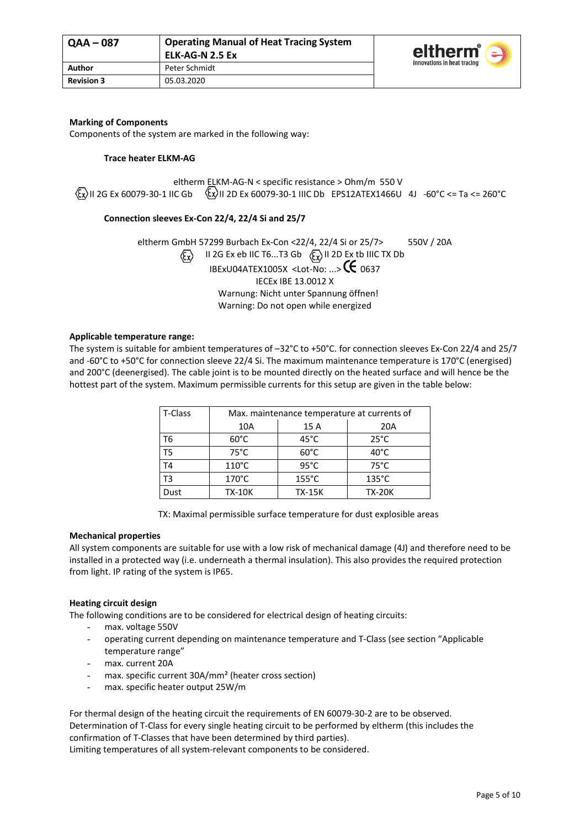

#### **Marking of Components**

Components of the system are marked in the following way:

#### **Trace heater ELKM-AG**

eltherm ELKM-AG-N < specific resistance > Ohm/m 550 V  $\langle x \rangle$ II 2G Ex 60079-30-1 IIC Gb  $\langle x \rangle$ II 2D Ex 60079-30-1 IIIC Db EPS12ATEX1466U 4J -60°C <= Ta <= 260°C

#### **Connection sleeves Ex-Con 22/4, 22/4 Si and 25/7**

eltherm GmbH 57299 Burbach Ex-Con <22/4, 22/4 Si or 25/7> 550V / 20A  $\langle \overline{\xi_x} \rangle$  II 2G Ex eb IIC T6...T3 Gb  $\langle \overline{\xi_x} \rangle$  II 2D Ex tb IIIC TX Db IBExU04ATEX1005X <Lot-No: ...>  $G$  0637 IECEx IBE 13.0012 X Warnung: Nicht unter Spannung öffnen! Warning: Do not open while energized

#### **Applicable temperature range:**

The system is suitable for ambient temperatures of –32°C to +50°C. for connection sleeves Ex-Con 22/4 and 25/7 and -60°C to +50°C for connection sleeve 22/4 Si. The maximum maintenance temperature is 170°C (energised) and 200°C (deenergised). The cable joint is to be mounted directly on the heated surface and will hence be the hottest part of the system. Maximum permissible currents for this setup are given in the table below:

| T-Class        | Max. maintenance temperature at currents of |                 |                 |
|----------------|---------------------------------------------|-----------------|-----------------|
|                | 10A                                         | 15 A            | 20A             |
| T6             | $60^{\circ}$ C                              | $45^{\circ}$ C  | $25^{\circ}$ C  |
| T5             | $75^{\circ}$ C                              | $60^{\circ}$ C  | $40^{\circ}$ C  |
| T <sub>4</sub> | $110^{\circ}$ C                             | $95^{\circ}$ C  | $75^{\circ}$ C  |
| T3             | $170^{\circ}$ C                             | $155^{\circ}$ C | $135^{\circ}$ C |
| Dust           | <b>TX-10K</b>                               | <b>TX-15K</b>   | <b>TX-20K</b>   |

TX: Maximal permissible surface temperature for dust explosible areas

#### **Mechanical properties**

All system components are suitable for use with a low risk of mechanical damage (4J) and therefore need to be installed in a protected way (i.e. underneath a thermal insulation). This also provides the required protection from light. IP rating of the system is IP65.

#### **Heating circuit design**

The following conditions are to be considered for electrical design of heating circuits:

- max. voltage 550V
- operating current depending on maintenance temperature and T-Class (see section "Applicable temperature range"
- max. current 20A
- max. specific current 30A/mm<sup>2</sup> (heater cross section)
- max. specific heater output 25W/m

For thermal design of the heating circuit the requirements of EN 60079-30-2 are to be observed. Determination of T-Class for every single heating circuit to be performed by eltherm (this includes the confirmation of T-Classes that have been determined by third parties).

Limiting temperatures of all system-relevant components to be considered.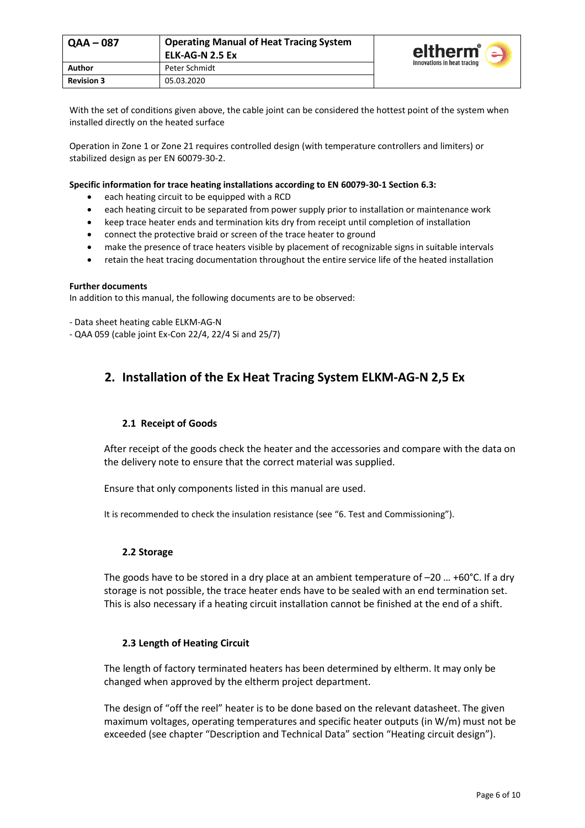| <b>Operating Manual of Heat Tracing System</b><br>  QAA – 087<br>ELK-AG-N 2.5 Ex |               | eltherm®<br>$\overline{\phantom{a}}$ |
|----------------------------------------------------------------------------------|---------------|--------------------------------------|
| Author                                                                           | Peter Schmidt | innovations in heat tracing          |
| <b>Revision 3</b>                                                                | 05.03.2020    |                                      |

With the set of conditions given above, the cable joint can be considered the hottest point of the system when installed directly on the heated surface

Operation in Zone 1 or Zone 21 requires controlled design (with temperature controllers and limiters) or stabilized design as per EN 60079-30-2.

#### **Specific information for trace heating installations according to EN 60079-30-1 Section 6.3:**

- each heating circuit to be equipped with a RCD
- each heating circuit to be separated from power supply prior to installation or maintenance work
- keep trace heater ends and termination kits dry from receipt until completion of installation
- connect the protective braid or screen of the trace heater to ground
- make the presence of trace heaters visible by placement of recognizable signs in suitable intervals
- retain the heat tracing documentation throughout the entire service life of the heated installation

#### **Further documents**

In addition to this manual, the following documents are to be observed:

- Data sheet heating cable ELKM-AG-N

- QAA 059 (cable joint Ex-Con 22/4, 22/4 Si and 25/7)

# **2. Installation of the Ex Heat Tracing System ELKM-AG-N 2,5 Ex**

#### **2.1 Receipt of Goods**

After receipt of the goods check the heater and the accessories and compare with the data on the delivery note to ensure that the correct material was supplied.

Ensure that only components listed in this manual are used.

It is recommended to check the insulation resistance (see "6. Test and Commissioning").

#### **2.2 Storage**

The goods have to be stored in a dry place at an ambient temperature of  $-20$  ... +60°C. If a dry storage is not possible, the trace heater ends have to be sealed with an end termination set. This is also necessary if a heating circuit installation cannot be finished at the end of a shift.

#### **2.3 Length of Heating Circuit**

The length of factory terminated heaters has been determined by eltherm. It may only be changed when approved by the eltherm project department.

The design of "off the reel" heater is to be done based on the relevant datasheet. The given maximum voltages, operating temperatures and specific heater outputs (in W/m) must not be exceeded (see chapter "Description and Technical Data" section "Heating circuit design").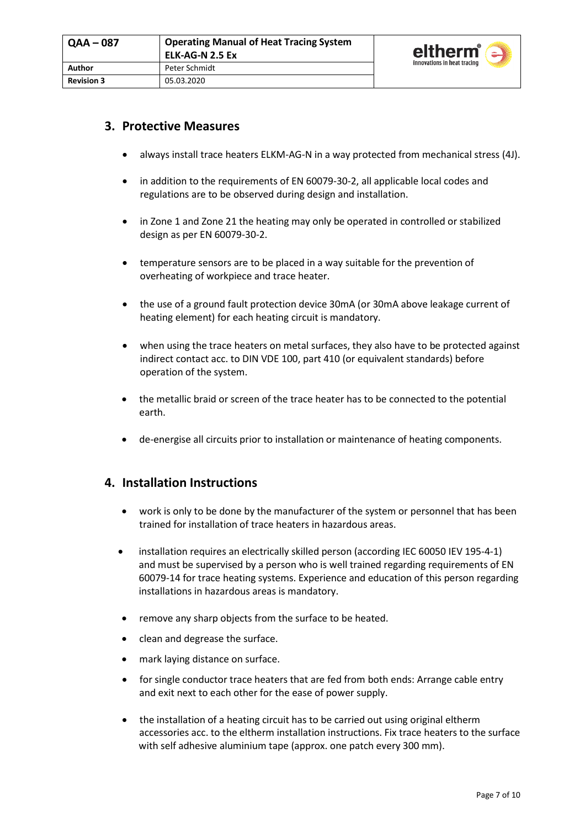

## **3. Protective Measures**

- always install trace heaters ELKM-AG-N in a way protected from mechanical stress (4J).
- in addition to the requirements of EN 60079-30-2, all applicable local codes and regulations are to be observed during design and installation.
- in Zone 1 and Zone 21 the heating may only be operated in controlled or stabilized design as per EN 60079-30-2.
- temperature sensors are to be placed in a way suitable for the prevention of overheating of workpiece and trace heater.
- the use of a ground fault protection device 30mA (or 30mA above leakage current of heating element) for each heating circuit is mandatory.
- when using the trace heaters on metal surfaces, they also have to be protected against indirect contact acc. to DIN VDE 100, part 410 (or equivalent standards) before operation of the system.
- the metallic braid or screen of the trace heater has to be connected to the potential earth.
- de-energise all circuits prior to installation or maintenance of heating components.

### **4. Installation Instructions**

- work is only to be done by the manufacturer of the system or personnel that has been trained for installation of trace heaters in hazardous areas.
- installation requires an electrically skilled person (according IEC 60050 IEV 195-4-1) and must be supervised by a person who is well trained regarding requirements of EN 60079-14 for trace heating systems. Experience and education of this person regarding installations in hazardous areas is mandatory.
- remove any sharp objects from the surface to be heated.
- clean and degrease the surface.
- mark laying distance on surface.
- for single conductor trace heaters that are fed from both ends: Arrange cable entry and exit next to each other for the ease of power supply.
- the installation of a heating circuit has to be carried out using original eltherm accessories acc. to the eltherm installation instructions. Fix trace heaters to the surface with self adhesive aluminium tape (approx. one patch every 300 mm).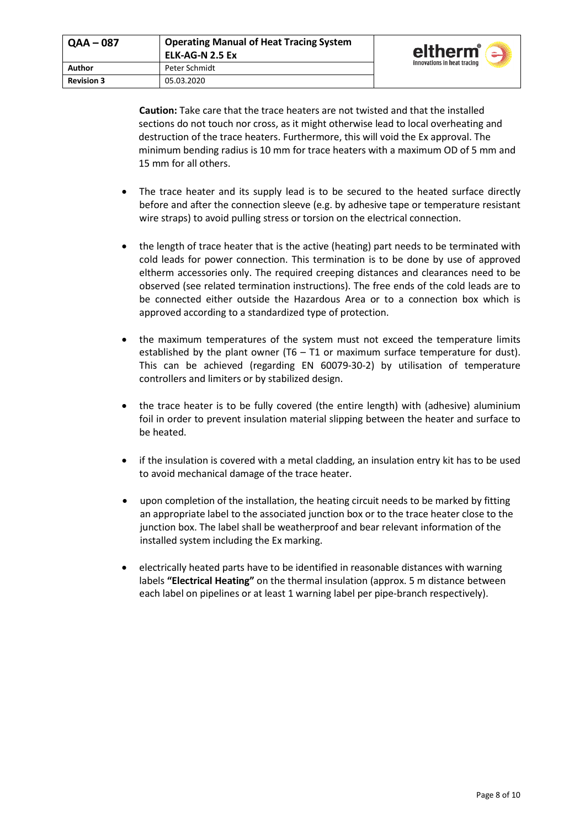| $QAA - 087$       | <b>Operating Manual of Heat Tracing System</b><br>ELK-AG-N 2.5 Ex | eltherm <sup>®</sup><br>$\mathbb{Z}$ |  |
|-------------------|-------------------------------------------------------------------|--------------------------------------|--|
| Author            | Peter Schmidt                                                     | innovations in heat tracing          |  |
| <b>Revision 3</b> | 05.03.2020                                                        |                                      |  |

**Caution:** Take care that the trace heaters are not twisted and that the installed sections do not touch nor cross, as it might otherwise lead to local overheating and destruction of the trace heaters. Furthermore, this will void the Ex approval. The minimum bending radius is 10 mm for trace heaters with a maximum OD of 5 mm and 15 mm for all others.

- The trace heater and its supply lead is to be secured to the heated surface directly before and after the connection sleeve (e.g. by adhesive tape or temperature resistant wire straps) to avoid pulling stress or torsion on the electrical connection.
- the length of trace heater that is the active (heating) part needs to be terminated with cold leads for power connection. This termination is to be done by use of approved eltherm accessories only. The required creeping distances and clearances need to be observed (see related termination instructions). The free ends of the cold leads are to be connected either outside the Hazardous Area or to a connection box which is approved according to a standardized type of protection.
- the maximum temperatures of the system must not exceed the temperature limits established by the plant owner  $(T6 - T1)$  or maximum surface temperature for dust). This can be achieved (regarding EN 60079-30-2) by utilisation of temperature controllers and limiters or by stabilized design.
- the trace heater is to be fully covered (the entire length) with (adhesive) aluminium foil in order to prevent insulation material slipping between the heater and surface to be heated.
- if the insulation is covered with a metal cladding, an insulation entry kit has to be used to avoid mechanical damage of the trace heater.
- upon completion of the installation, the heating circuit needs to be marked by fitting an appropriate label to the associated junction box or to the trace heater close to the junction box. The label shall be weatherproof and bear relevant information of the installed system including the Ex marking.
- electrically heated parts have to be identified in reasonable distances with warning labels **"Electrical Heating"** on the thermal insulation (approx. 5 m distance between each label on pipelines or at least 1 warning label per pipe-branch respectively).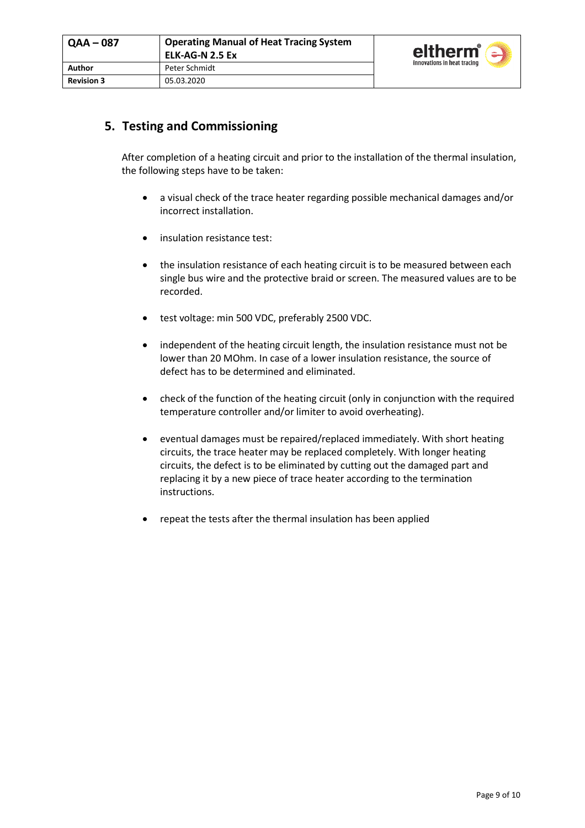

## **5. Testing and Commissioning**

After completion of a heating circuit and prior to the installation of the thermal insulation, the following steps have to be taken:

- a visual check of the trace heater regarding possible mechanical damages and/or incorrect installation.
- insulation resistance test:
- the insulation resistance of each heating circuit is to be measured between each single bus wire and the protective braid or screen. The measured values are to be recorded.
- test voltage: min 500 VDC, preferably 2500 VDC.
- independent of the heating circuit length, the insulation resistance must not be lower than 20 MOhm. In case of a lower insulation resistance, the source of defect has to be determined and eliminated.
- check of the function of the heating circuit (only in conjunction with the required temperature controller and/or limiter to avoid overheating).
- eventual damages must be repaired/replaced immediately. With short heating circuits, the trace heater may be replaced completely. With longer heating circuits, the defect is to be eliminated by cutting out the damaged part and replacing it by a new piece of trace heater according to the termination instructions.
- repeat the tests after the thermal insulation has been applied